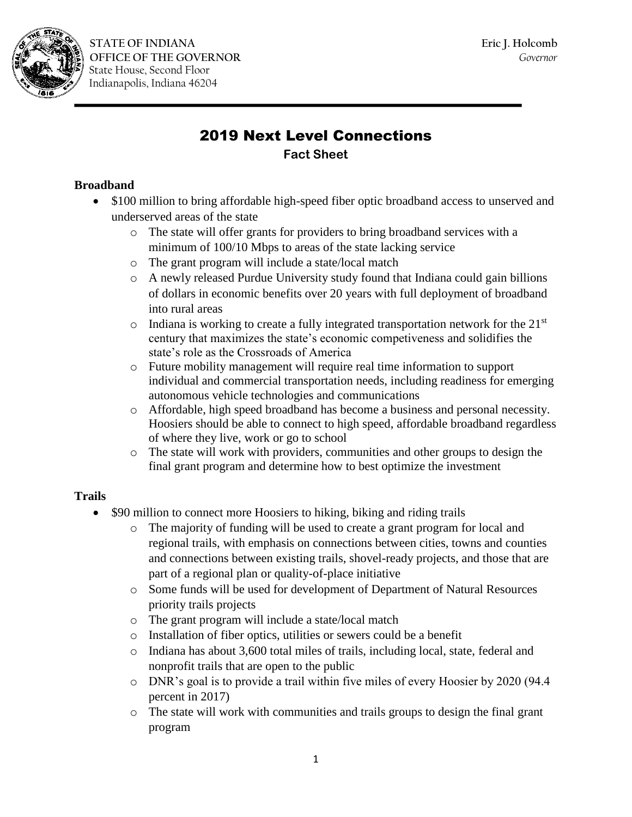

# 2019 Next Level Connections **Fact Sheet**

## **Broadband**

- \$100 million to bring affordable high-speed fiber optic broadband access to unserved and underserved areas of the state
	- o The state will offer grants for providers to bring broadband services with a minimum of 100/10 Mbps to areas of the state lacking service
	- o The grant program will include a state/local match
	- o A newly released Purdue University study found that Indiana could gain billions of dollars in economic benefits over 20 years with full deployment of broadband into rural areas
	- $\circ$  Indiana is working to create a fully integrated transportation network for the 21<sup>st</sup> century that maximizes the state's economic competiveness and solidifies the state's role as the Crossroads of America
	- o Future mobility management will require real time information to support individual and commercial transportation needs, including readiness for emerging autonomous vehicle technologies and communications
	- o Affordable, high speed broadband has become a business and personal necessity. Hoosiers should be able to connect to high speed, affordable broadband regardless of where they live, work or go to school
	- o The state will work with providers, communities and other groups to design the final grant program and determine how to best optimize the investment

#### **Trails**

- \$90 million to connect more Hoosiers to hiking, biking and riding trails
	- o The majority of funding will be used to create a grant program for local and regional trails, with emphasis on connections between cities, towns and counties and connections between existing trails, shovel-ready projects, and those that are part of a regional plan or quality-of-place initiative
	- o Some funds will be used for development of Department of Natural Resources priority trails projects
	- o The grant program will include a state/local match
	- o Installation of fiber optics, utilities or sewers could be a benefit
	- o Indiana has about 3,600 total miles of trails, including local, state, federal and nonprofit trails that are open to the public
	- o DNR's goal is to provide a trail within five miles of every Hoosier by 2020 (94.4 percent in 2017)
	- o The state will work with communities and trails groups to design the final grant program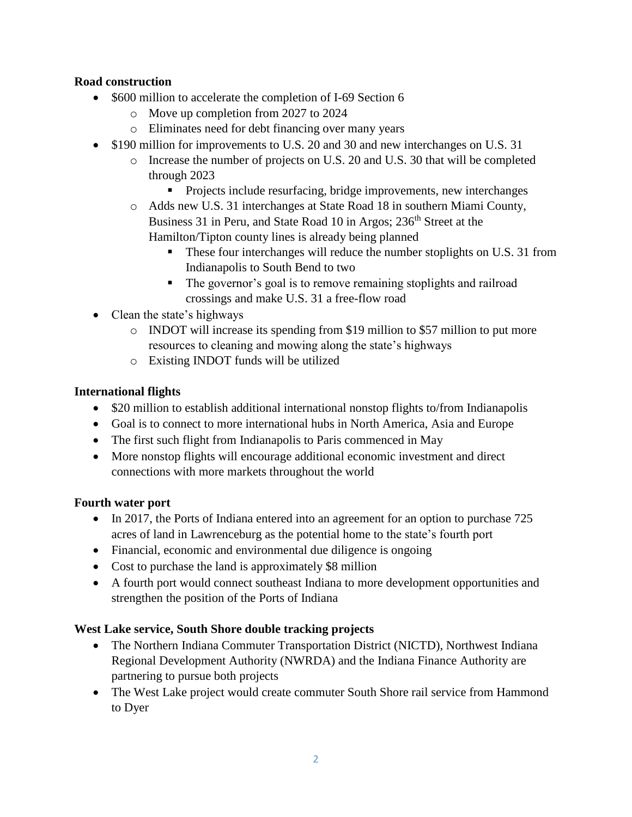## **Road construction**

- \$600 million to accelerate the completion of I-69 Section 6
	- o Move up completion from 2027 to 2024
	- o Eliminates need for debt financing over many years
- \$190 million for improvements to U.S. 20 and 30 and new interchanges on U.S. 31
	- o Increase the number of projects on U.S. 20 and U.S. 30 that will be completed through 2023
		- **Projects include resurfacing, bridge improvements, new interchanges**
	- o Adds new U.S. 31 interchanges at State Road 18 in southern Miami County, Business 31 in Peru, and State Road 10 in Argos; 236<sup>th</sup> Street at the Hamilton/Tipton county lines is already being planned
		- These four interchanges will reduce the number stoplights on U.S. 31 from Indianapolis to South Bend to two
		- The governor's goal is to remove remaining stoplights and railroad crossings and make U.S. 31 a free-flow road
- Clean the state's highways
	- o INDOT will increase its spending from \$19 million to \$57 million to put more resources to cleaning and mowing along the state's highways
	- o Existing INDOT funds will be utilized

#### **International flights**

- \$20 million to establish additional international nonstop flights to/from Indianapolis
- Goal is to connect to more international hubs in North America, Asia and Europe
- The first such flight from Indianapolis to Paris commenced in May
- More nonstop flights will encourage additional economic investment and direct connections with more markets throughout the world

#### **Fourth water port**

- In 2017, the Ports of Indiana entered into an agreement for an option to purchase 725 acres of land in Lawrenceburg as the potential home to the state's fourth port
- Financial, economic and environmental due diligence is ongoing
- Cost to purchase the land is approximately \$8 million
- A fourth port would connect southeast Indiana to more development opportunities and strengthen the position of the Ports of Indiana

#### **West Lake service, South Shore double tracking projects**

- The Northern Indiana Commuter Transportation District (NICTD), Northwest Indiana Regional Development Authority (NWRDA) and the Indiana Finance Authority are partnering to pursue both projects
- The West Lake project would create commuter South Shore rail service from Hammond to Dyer